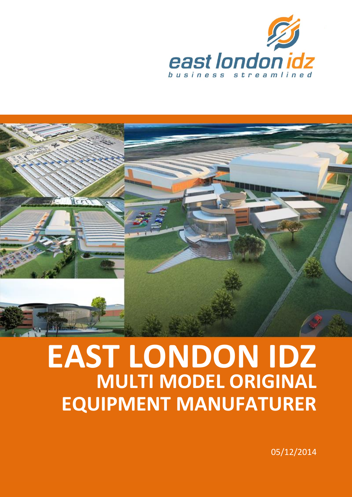



# **MULTI MODEL ORIGINAL EAST LONDON IDZ EQUIPMENT MANUFATURER**

05/12/2014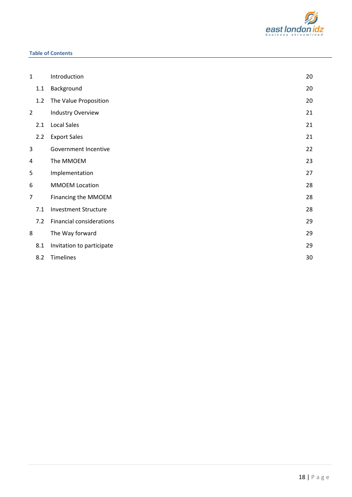

#### **Table of Contents**

| $\mathbf{1}$   |     | Introduction                    | 20 |
|----------------|-----|---------------------------------|----|
|                | 1.1 | Background                      | 20 |
|                | 1.2 | The Value Proposition           | 20 |
| $\overline{2}$ |     | <b>Industry Overview</b>        | 21 |
|                | 2.1 | <b>Local Sales</b>              | 21 |
|                | 2.2 | <b>Export Sales</b>             | 21 |
| 3              |     | Government Incentive            | 22 |
| 4              |     | The MMOEM                       | 23 |
| 5              |     | Implementation                  | 27 |
| 6              |     | <b>MMOEM Location</b>           | 28 |
| $\overline{7}$ |     | Financing the MMOEM             | 28 |
|                | 7.1 | <b>Investment Structure</b>     | 28 |
|                | 7.2 | <b>Financial considerations</b> | 29 |
| 8              |     | The Way forward                 | 29 |
|                | 8.1 | Invitation to participate       | 29 |
|                | 8.2 | Timelines                       | 30 |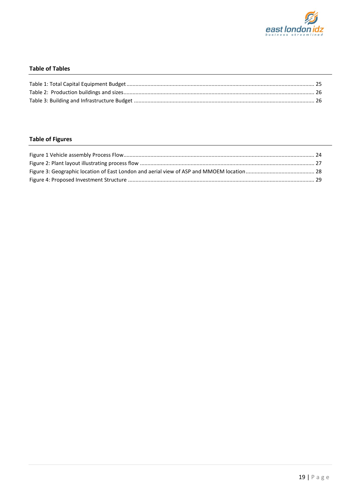

## **Table of Tables**

## **Table of Figures**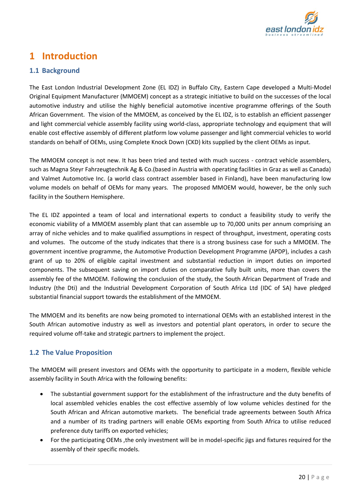

# <span id="page-3-0"></span>**1 Introduction**

## <span id="page-3-1"></span>**1.1 Background**

The East London Industrial Development Zone (EL IDZ) in Buffalo City, Eastern Cape developed a Multi-Model Original Equipment Manufacturer (MMOEM) concept as a strategic initiative to build on the successes of the local automotive industry and utilise the highly beneficial automotive incentive programme offerings of the South African Government. The vision of the MMOEM, as conceived by the EL IDZ, is to establish an efficient passenger and light commercial vehicle assembly facility using world-class, appropriate technology and equipment that will enable cost effective assembly of different platform low volume passenger and light commercial vehicles to world standards on behalf of OEMs, using Complete Knock Down (CKD) kits supplied by the client OEMs as input.

The MMOEM concept is not new. It has been tried and tested with much success - contract vehicle assemblers, such as Magna Steyr Fahrzeugtechnik Ag & Co.(based in Austria with operating facilities in Graz as well as Canada) and Valmet Automotive Inc. (a world class contract assembler based in Finland), have been manufacturing low volume models on behalf of OEMs for many years. The proposed MMOEM would, however, be the only such facility in the Southern Hemisphere.

The EL IDZ appointed a team of local and international experts to conduct a feasibility study to verify the economic viability of a MMOEM assembly plant that can assemble up to 70,000 units per annum comprising an array of niche vehicles and to make qualified assumptions in respect of throughput, investment, operating costs and volumes. The outcome of the study indicates that there is a strong business case for such a MMOEM. The government incentive programme, the Automotive Production Development Programme (APDP), includes a cash grant of up to 20% of eligible capital investment and substantial reduction in import duties on imported components. The subsequent saving on import duties on comparative fully built units, more than covers the assembly fee of the MMOEM. Following the conclusion of the study, the South African Department of Trade and Industry (the Dti) and the Industrial Development Corporation of South Africa Ltd (IDC of SA) have pledged substantial financial support towards the establishment of the MMOEM.

The MMOEM and its benefits are now being promoted to international OEMs with an established interest in the South African automotive industry as well as investors and potential plant operators, in order to secure the required volume off-take and strategic partners to implement the project.

## <span id="page-3-2"></span>**1.2 The Value Proposition**

The MMOEM will present investors and OEMs with the opportunity to participate in a modern, flexible vehicle assembly facility in South Africa with the following benefits:

- The substantial government support for the establishment of the infrastructure and the duty benefits of local assembled vehicles enables the cost effective assembly of low volume vehicles destined for the South African and African automotive markets. The beneficial trade agreements between South Africa and a number of its trading partners will enable OEMs exporting from South Africa to utilise reduced preference duty tariffs on exported vehicles;
- For the participating OEMs, the only investment will be in model-specific jigs and fixtures required for the assembly of their specific models.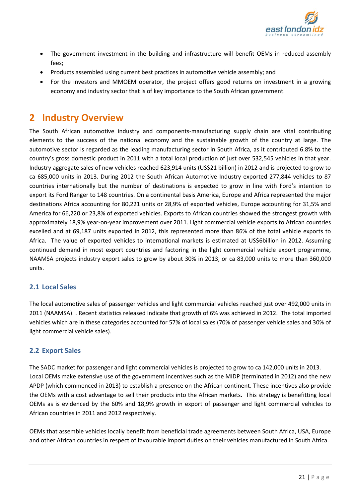

- The government investment in the building and infrastructure will benefit OEMs in reduced assembly fees;
- Products assembled using current best practices in automotive vehicle assembly; and
- For the investors and MMOEM operator, the project offers good returns on investment in a growing economy and industry sector that is of key importance to the South African government.

# <span id="page-4-0"></span>**2 Industry Overview**

The South African automotive industry and components-manufacturing supply chain are vital contributing elements to the success of the national economy and the sustainable growth of the country at large. The automotive sector is regarded as the leading manufacturing sector in South Africa, as it contributed 6.8% to the country's gross domestic product in 2011 with a total local production of just over 532,545 vehicles in that year. Industry aggregate sales of new vehicles reached 623,914 units (US\$21 billion) in 2012 and is projected to grow to ca 685,000 units in 2013. During 2012 the South African Automotive Industry exported 277,844 vehicles to 87 countries internationally but the number of destinations is expected to grow in line with Ford's intention to export its Ford Ranger to 148 countries. On a continental basis America, Europe and Africa represented the major destinations Africa accounting for 80,221 units or 28,9% of exported vehicles, Europe accounting for 31,5% and America for 66,220 or 23,8% of exported vehicles. Exports to African countries showed the strongest growth with approximately 18,9% year-on-year improvement over 2011. Light commercial vehicle exports to African countries excelled and at 69,187 units exported in 2012, this represented more than 86% of the total vehicle exports to Africa. The value of exported vehicles to international markets is estimated at US\$6billion in 2012. Assuming continued demand in most export countries and factoring in the light commercial vehicle export programme, NAAMSA projects industry export sales to grow by about 30% in 2013, or ca 83,000 units to more than 360,000 units.

## <span id="page-4-1"></span>**2.1 Local Sales**

The local automotive sales of passenger vehicles and light commercial vehicles reached just over 492,000 units in 2011 (NAAMSA). . Recent statistics released indicate that growth of 6% was achieved in 2012. The total imported vehicles which are in these categories accounted for 57% of local sales (70% of passenger vehicle sales and 30% of light commercial vehicle sales).

## <span id="page-4-2"></span>**2.2 Export Sales**

The SADC market for passenger and light commercial vehicles is projected to grow to ca 142,000 units in 2013. Local OEMs make extensive use of the government incentives such as the MIDP (terminated in 2012) and the new APDP (which commenced in 2013) to establish a presence on the African continent. These incentives also provide the OEMs with a cost advantage to sell their products into the African markets. This strategy is benefitting local OEMs as is evidenced by the 60% and 18,9% growth in export of passenger and light commercial vehicles to African countries in 2011 and 2012 respectively.

OEMs that assemble vehicles locally benefit from beneficial trade agreements between South Africa, USA, Europe and other African countries in respect of favourable import duties on their vehicles manufactured in South Africa.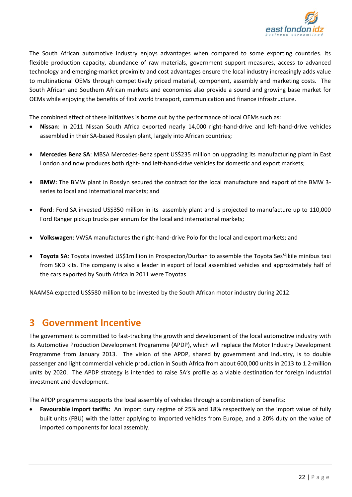

The South African automotive industry enjoys advantages when compared to some exporting countries. Its flexible production capacity, abundance of raw materials, government support measures, access to advanced technology and emerging-market proximity and cost advantages ensure the local industry increasingly adds value to multinational OEMs through competitively priced material, component, assembly and marketing costs. The South African and Southern African markets and economies also provide a sound and growing base market for OEMs while enjoying the benefits of first world transport, communication and finance infrastructure.

The combined effect of these initiatives is borne out by the performance of local OEMs such as:

- **Nissan**: In 2011 Nissan South Africa exported nearly 14,000 right-hand-drive and left-hand-drive vehicles assembled in their SA-based Rosslyn plant, largely into African countries;
- **Mercedes Benz SA**: MBSA Mercedes-Benz spent US\$235 million on upgrading its manufacturing plant in East London and now produces both right- and left-hand-drive vehicles for domestic and export markets;
- **BMW:** The BMW plant in Rosslyn secured the contract for the local manufacture and export of the BMW 3 series to local and international markets; and
- **Ford**: Ford SA invested US\$350 million in its assembly plant and is projected to manufacture up to 110,000 Ford Ranger pickup trucks per annum for the local and international markets;
- **Volkswagen**: VWSA manufactures the right-hand-drive Polo for the local and export markets; and
- **Toyota SA**: Toyota invested US\$1million in Prospecton/Durban to assemble the Toyota Ses'fikile minibus taxi from SKD kits. The company is also a leader in export of local assembled vehicles and approximately half of the cars exported by South Africa in 2011 were Toyotas.

NAAMSA expecte[d US\\$580 million to be invested](http://www.tradeinvestsa.co.za/news/1268044.htm) by the South African motor industry during 2012.

# <span id="page-5-0"></span>**3 Government Incentive**

The government is committed to fast-tracking the growth and development of the local automotive industry with its Automotive Production Development Programme (APDP), which will replace the Motor Industry Development Programme from January 2013. The vision of the APDP, shared by government and industry, is to double passenger and light commercial vehicle production in South Africa from about 600,000 units in 2013 to 1.2-million units by 2020. The APDP strategy is intended to raise SA's profile as a viable destination for foreign industrial investment and development.

The APDP programme supports the local assembly of vehicles through a combination of benefits:

 **Favourable import tariffs:** An import duty regime of 25% and 18% respectively on the import value of fully built units (FBU) with the latter applying to imported vehicles from Europe, and a 20% duty on the value of imported components for local assembly.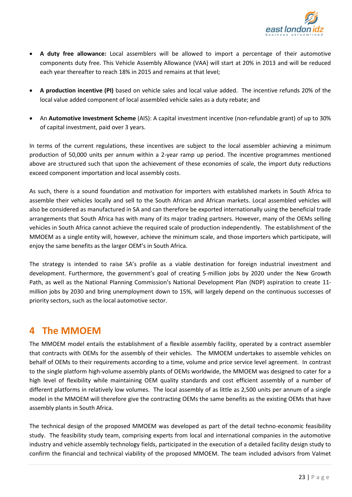

- **A duty free allowance:** Local assemblers will be allowed to import a percentage of their automotive components duty free. This Vehicle Assembly Allowance (VAA) will start at 20% in 2013 and will be reduced each year thereafter to reach 18% in 2015 and remains at that level;
- **A production incentive (PI)** based on vehicle sales and local value added. The incentive refunds 20% of the local value added component of local assembled vehicle sales as a duty rebate; and
- An **Automotive Investment Scheme** (AIS): A capital investment incentive (non-refundable grant) of up to 30% of capital investment, paid over 3 years.

In terms of the current regulations, these incentives are subject to the local assembler achieving a minimum production of 50,000 units per annum within a 2-year ramp up period. The incentive programmes mentioned above are structured such that upon the achievement of these economies of scale, the import duty reductions exceed component importation and local assembly costs.

As such, there is a sound foundation and motivation for importers with established markets in South Africa to assemble their vehicles locally and sell to the South African and African markets. Local assembled vehicles will also be considered as manufactured in SA and can therefore be exported internationally using the beneficial trade arrangements that South Africa has with many of its major trading partners. However, many of the OEMs selling vehicles in South Africa cannot achieve the required scale of production independently. The establishment of the MMOEM as a single entity will, however, achieve the minimum scale, and those importers which participate, will enjoy the same benefits as the larger OEM's in South Africa.

The strategy is intended to raise SA's profile as a viable destination for foreign industrial investment and development. Furthermore, the government's goal of creating 5-million jobs by 2020 under the New Growth Path, as well as the National Planning Commission's National Development Plan (NDP) aspiration to create 11 million jobs by 2030 and bring unemployment down to 15%, will largely depend on the continuous successes of priority sectors, such as the local automotive sector.

# <span id="page-6-0"></span>**4 The MMOEM**

The MMOEM model entails the establishment of a flexible assembly facility, operated by a contract assembler that contracts with OEMs for the assembly of their vehicles. The MMOEM undertakes to assemble vehicles on behalf of OEMs to their requirements according to a time, volume and price service level agreement. In contrast to the single platform high-volume assembly plants of OEMs worldwide, the MMOEM was designed to cater for a high level of flexibility while maintaining OEM quality standards and cost efficient assembly of a number of different platforms in relatively low volumes. The local assembly of as little as 2,500 units per annum of a single model in the MMOEM will therefore give the contracting OEMs the same benefits as the existing OEMs that have assembly plants in South Africa.

The technical design of the proposed MMOEM was developed as part of the detail techno-economic feasibility study. The feasibility study team, comprising experts from local and international companies in the automotive industry and vehicle assembly technology fields, participated in the execution of a detailed facility design study to confirm the financial and technical viability of the proposed MMOEM. The team included advisors from Valmet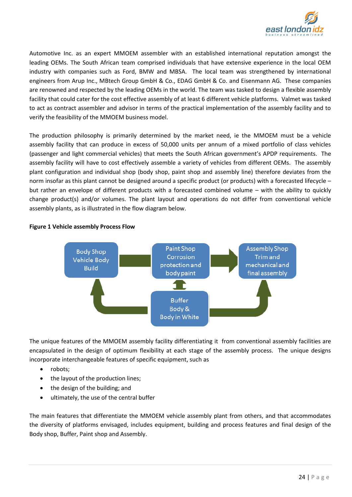

Automotive Inc. as an expert MMOEM assembler with an established international reputation amongst the leading OEMs. The South African team comprised individuals that have extensive experience in the local OEM industry with companies such as Ford, BMW and MBSA. The local team was strengthened by international engineers from Arup Inc., MBtech Group GmbH & Co., EDAG GmbH & Co. and Eisenmann AG. These companies are renowned and respected by the leading OEMs in the world. The team was tasked to design a flexible assembly facility that could cater for the cost effective assembly of at least 6 different vehicle platforms. Valmet was tasked to act as contract assembler and advisor in terms of the practical implementation of the assembly facility and to verify the feasibility of the MMOEM business model.

The production philosophy is primarily determined by the market need, ie the MMOEM must be a vehicle assembly facility that can produce in excess of 50,000 units per annum of a mixed portfolio of class vehicles (passenger and light commercial vehicles) that meets the South African government's APDP requirements. The assembly facility will have to cost effectively assemble a variety of vehicles from different OEMs. The assembly plant configuration and individual shop (body shop, paint shop and assembly line) therefore deviates from the norm insofar as this plant cannot be designed around a specific product (or products) with a forecasted lifecycle – but rather an envelope of different products with a forecasted combined volume – with the ability to quickly change product(s) and/or volumes. The plant layout and operations do not differ from conventional vehicle assembly plants, as is illustrated in the flow diagram below.



#### <span id="page-7-0"></span>**Figure 1 Vehicle assembly Process Flow**

The unique features of the MMOEM assembly facility differentiating it from conventional assembly facilities are encapsulated in the design of optimum flexibility at each stage of the assembly process. The unique designs incorporate interchangeable features of specific equipment, such as

- robots;
- the layout of the production lines;
- the design of the building; and
- ultimately, the use of the central buffer

The main features that differentiate the MMOEM vehicle assembly plant from others, and that accommodates the diversity of platforms envisaged, includes equipment, building and process features and final design of the Body shop, Buffer, Paint shop and Assembly.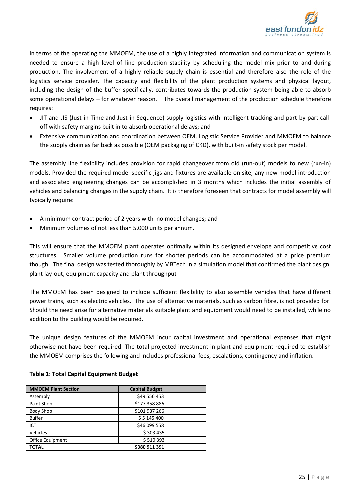

In terms of the operating the MMOEM, the use of a highly integrated information and communication system is needed to ensure a high level of line production stability by scheduling the model mix prior to and during production. The involvement of a highly reliable supply chain is essential and therefore also the role of the logistics service provider. The capacity and flexibility of the plant production systems and physical layout, including the design of the buffer specifically, contributes towards the production system being able to absorb some operational delays – for whatever reason. The overall management of the production schedule therefore requires:

- JIT and JIS (Just-in-Time and Just-in-Sequence) supply logistics with intelligent tracking and part-by-part calloff with safety margins built in to absorb operational delays; and
- Extensive communication and coordination between OEM, Logistic Service Provider and MMOEM to balance the supply chain as far back as possible (OEM packaging of CKD), with built-in safety stock per model.

The assembly line flexibility includes provision for rapid changeover from old (run-out) models to new (run-in) models. Provided the required model specific jigs and fixtures are available on site, any new model introduction and associated engineering changes can be accomplished in 3 months which includes the initial assembly of vehicles and balancing changes in the supply chain. It is therefore foreseen that contracts for model assembly will typically require:

- A minimum contract period of 2 years with no model changes; and
- Minimum volumes of not less than 5,000 units per annum.

This will ensure that the MMOEM plant operates optimally within its designed envelope and competitive cost structures. Smaller volume production runs for shorter periods can be accommodated at a price premium though. The final design was tested thoroughly by MBTech in a simulation model that confirmed the plant design, plant lay-out, equipment capacity and plant throughput

The MMOEM has been designed to include sufficient flexibility to also assemble vehicles that have different power trains, such as electric vehicles. The use of alternative materials, such as carbon fibre, is not provided for. Should the need arise for alternative materials suitable plant and equipment would need to be installed, while no addition to the building would be required.

The unique design features of the MMOEM incur capital investment and operational expenses that might otherwise not have been required. The total projected investment in plant and equipment required to establish the MMOEM comprises the following and includes professional fees, escalations, contingency and inflation.

| <b>MMOEM Plant Section</b> | <b>Capital Budget</b> |
|----------------------------|-----------------------|
| Assembly                   | \$49 556 453          |
| Paint Shop                 | \$177 358 886         |
| <b>Body Shop</b>           | \$101 937 266         |
| <b>Buffer</b>              | \$5145400             |
| ICT                        | \$46 099 558          |
| Vehicles                   | \$303435              |
| Office Equipment           | \$510393              |
| TOTAL                      | \$380 911 391         |

#### <span id="page-8-0"></span>**Table 1: Total Capital Equipment Budget**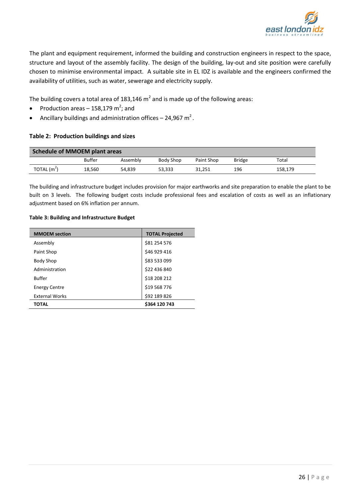

The plant and equipment requirement, informed the building and construction engineers in respect to the space, structure and layout of the assembly facility. The design of the building, lay-out and site position were carefully chosen to minimise environmental impact. A suitable site in EL IDZ is available and the engineers confirmed the availability of utilities, such as water, sewerage and electricity supply.

The building covers a total area of 183,146  $m^2$  and is made up of the following areas:

- Production areas 158,179 m<sup>2</sup>; and
- Ancillary buildings and administration offices 24,967  $m^2$ .

#### <span id="page-9-0"></span>**Table 2: Production buildings and sizes**

| Schedule of MMOEM plant areas |               |          |           |            |               |         |
|-------------------------------|---------------|----------|-----------|------------|---------------|---------|
|                               | <b>Buffer</b> | Assembly | Body Shop | Paint Shop | <b>Bridge</b> | Total   |
| $TOTAL$ (m <sup>2</sup> )     | 18.560        | 54.839   | 53.333    | 31.251     | 196           | 158,179 |

The building and infrastructure budget includes provision for major earthworks and site preparation to enable the plant to be built on 3 levels. The following budget costs include professional fees and escalation of costs as well as an inflationary adjustment based on 6% inflation per annum.

#### <span id="page-9-1"></span>**Table 3: Building and Infrastructure Budget**

| <b>MMOEM</b> section  | <b>TOTAL Projected</b> |  |  |
|-----------------------|------------------------|--|--|
| Assembly              | \$81 254 576           |  |  |
| Paint Shop            | \$46 929 416           |  |  |
| <b>Body Shop</b>      | \$83 533 099           |  |  |
| Administration        | \$22 436 840           |  |  |
| <b>Buffer</b>         | \$18 208 212           |  |  |
| <b>Energy Centre</b>  | \$19 568 776           |  |  |
| <b>External Works</b> | \$92 189 826           |  |  |
| ΤΟΤΑL                 | \$364 120 743          |  |  |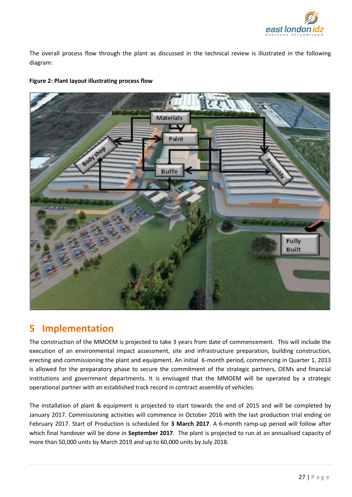

The overall process flow through the plant as discussed in the technical review is illustrated in the following diagram:

<span id="page-10-1"></span>



# <span id="page-10-0"></span>**5 Implementation**

The construction of the MMOEM is projected to take 3 years from date of commencement. This will include the execution of an environmental impact assessment, site and infrastructure preparation, building construction, erecting and commissioning the plant and equipment. An initial 6-month period, commencing in Quarter 1, 2013 is allowed for the preparatory phase to secure the commitment of the strategic partners, OEMs and financial institutions and government departments. It is envisaged that the MMOEM will be operated by a strategic operational partner with an established track record in contract assembly of vehicles.

The installation of plant & equipment is projected to start towards the end of 2015 and will be completed by January 2017. Commissioning activities will commence in October 2016 with the last production trial ending on February 2017. Start of Production is scheduled for **3 March 2017**. A 6-month ramp-up period will follow after which final handover will be done in **September 2017**. The plant is projected to run at an annualised capacity of more than 50,000 units by March 2019 and up to 60,000 units by July 2018.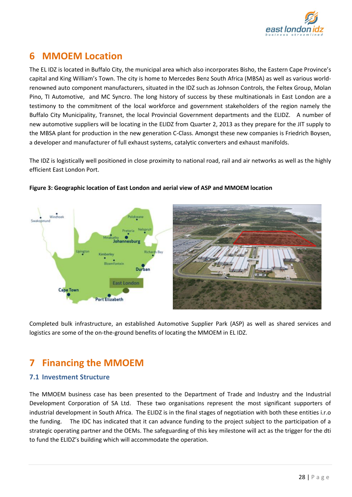

# <span id="page-11-0"></span>**6 MMOEM Location**

The EL IDZ is located in Buffalo City, the municipal area which also incorporates Bisho, the Eastern Cape Province's capital and King William's Town. The city is home to Mercedes Benz South Africa (MBSA) as well as various worldrenowned auto component manufacturers, situated in the IDZ such as Johnson Controls, the Feltex Group, Molan Pino, TI Automotive, and MC Syncro. The long history of success by these multinationals in East London are a testimony to the commitment of the local workforce and government stakeholders of the region namely the Buffalo City Municipality, Transnet, the local Provincial Government departments and the ELIDZ. A number of new automotive suppliers will be locating in the ELIDZ from Quarter 2, 2013 as they prepare for the JIT supply to the MBSA plant for production in the new generation C-Class. Amongst these new companies is Friedrich Boysen, a developer and manufacturer of full exhaust systems, catalytic converters and exhaust manifolds.

The IDZ is logistically well positioned in close proximity to national road, rail and air networks as well as the highly efficient East London Port.



#### <span id="page-11-3"></span>**Figure 3: Geographic location of East London and aerial view of ASP and MMOEM location**

Completed bulk infrastructure, an established Automotive Supplier Park (ASP) as well as shared services and logistics are some of the on-the-ground benefits of locating the MMOEM in EL IDZ.

# <span id="page-11-1"></span>**7 Financing the MMOEM**

## <span id="page-11-2"></span>**7.1 Investment Structure**

The MMOEM business case has been presented to the Department of Trade and Industry and the Industrial Development Corporation of SA Ltd. These two organisations represent the most significant supporters of industrial development in South Africa. The ELIDZ is in the final stages of negotiation with both these entities i.r.o the funding. The IDC has indicated that it can advance funding to the project subject to the participation of a strategic operating partner and the OEMs. The safeguarding of this key milestone will act as the trigger for the dti to fund the ELIDZ's building which will accommodate the operation.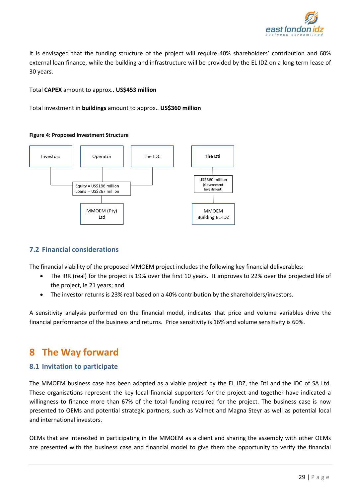

It is envisaged that the funding structure of the project will require 40% shareholders' contribution and 60% external loan finance, while the building and infrastructure will be provided by the EL IDZ on a long term lease of 30 years.

Total **CAPEX** amount to approx.. **US\$453 million**

Total investment in **buildings** amount to approx.. **US\$360 million**

#### <span id="page-12-3"></span>**Figure 4: Proposed Investment Structure**



## <span id="page-12-0"></span>**7.2 Financial considerations**

The financial viability of the proposed MMOEM project includes the following key financial deliverables:

- The IRR (real) for the project is 19% over the first 10 years. It improves to 22% over the projected life of the project, ie 21 years; and
- The investor returns is 23% real based on a 40% contribution by the shareholders/investors.

A sensitivity analysis performed on the financial model, indicates that price and volume variables drive the financial performance of the business and returns. Price sensitivity is 16% and volume sensitivity is 60%.

# <span id="page-12-1"></span>**8 The Way forward**

## <span id="page-12-2"></span>**8.1 Invitation to participate**

The MMOEM business case has been adopted as a viable project by the EL IDZ, the Dti and the IDC of SA Ltd. These organisations represent the key local financial supporters for the project and together have indicated a willingness to finance more than 67% of the total funding required for the project. The business case is now presented to OEMs and potential strategic partners, such as Valmet and Magna Steyr as well as potential local and international investors.

OEMs that are interested in participating in the MMOEM as a client and sharing the assembly with other OEMs are presented with the business case and financial model to give them the opportunity to verify the financial